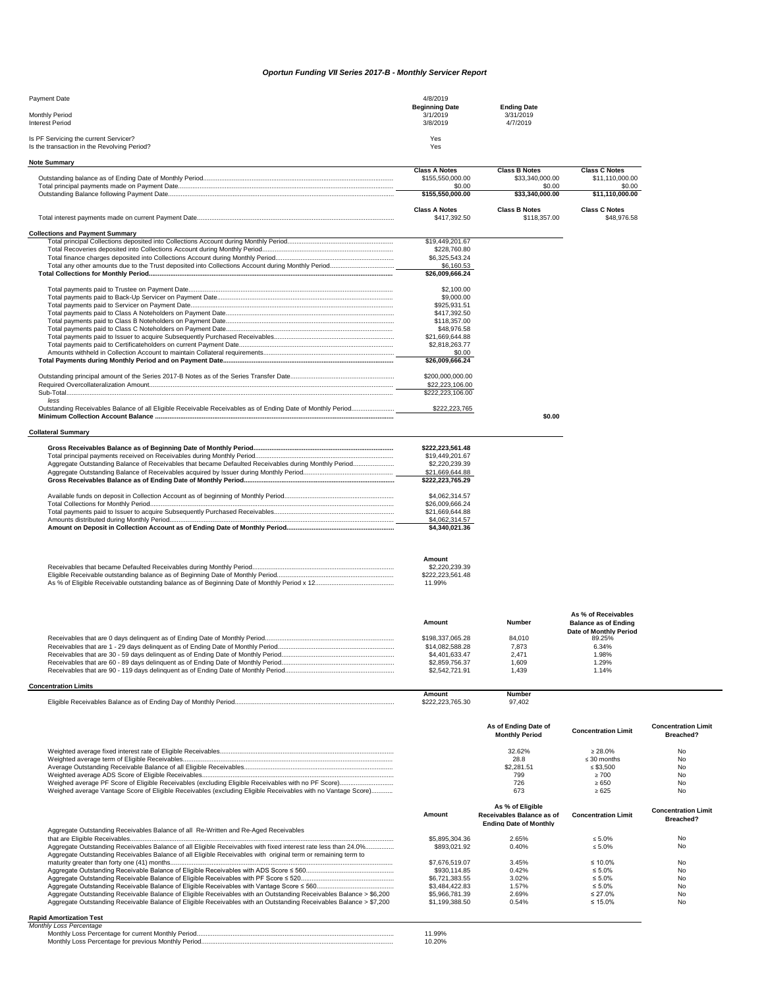## *Oportun Funding VII Series 2017-B - Monthly Servicer Report*

| Payment Date                                | 4/8/2019              |                    |
|---------------------------------------------|-----------------------|--------------------|
|                                             | <b>Beginning Date</b> | <b>Ending Date</b> |
| Monthly Period                              | 3/1/2019              | 3/31/2019          |
| <b>Interest Period</b>                      | 3/8/2019              | 4/7/2019           |
| Is PF Servicing the current Servicer?       | Yes                   |                    |
| Is the transaction in the Revolving Period? | Yes                   |                    |

| <b>Note Summary</b>                                                                                          |                      |                       |                                                    |                            |
|--------------------------------------------------------------------------------------------------------------|----------------------|-----------------------|----------------------------------------------------|----------------------------|
|                                                                                                              | <b>Class A Notes</b> | <b>Class B Notes</b>  | <b>Class C Notes</b>                               |                            |
|                                                                                                              | \$155,550,000.00     | \$33,340,000.00       | \$11,110,000.00                                    |                            |
|                                                                                                              | \$0.00               | \$0.00                | \$0.00                                             |                            |
|                                                                                                              | \$155,550,000.00     | \$33,340,000.00       | \$11,110,000.00                                    |                            |
|                                                                                                              |                      |                       |                                                    |                            |
|                                                                                                              | <b>Class A Notes</b> | <b>Class B Notes</b>  | <b>Class C Notes</b>                               |                            |
|                                                                                                              | \$417,392.50         | \$118,357.00          | \$48,976.58                                        |                            |
| <b>Collections and Payment Summary</b>                                                                       |                      |                       |                                                    |                            |
|                                                                                                              | \$19,449,201.67      |                       |                                                    |                            |
|                                                                                                              | \$228,760.80         |                       |                                                    |                            |
|                                                                                                              |                      |                       |                                                    |                            |
|                                                                                                              | \$6,325,543.24       |                       |                                                    |                            |
|                                                                                                              | \$6,160.53           |                       |                                                    |                            |
|                                                                                                              | \$26,009,666.24      |                       |                                                    |                            |
|                                                                                                              |                      |                       |                                                    |                            |
|                                                                                                              | \$2,100.00           |                       |                                                    |                            |
|                                                                                                              | \$9,000.00           |                       |                                                    |                            |
|                                                                                                              | \$925,931.51         |                       |                                                    |                            |
|                                                                                                              | \$417,392.50         |                       |                                                    |                            |
|                                                                                                              | \$118,357.00         |                       |                                                    |                            |
|                                                                                                              | \$48,976.58          |                       |                                                    |                            |
|                                                                                                              | \$21,669,644.88      |                       |                                                    |                            |
|                                                                                                              |                      |                       |                                                    |                            |
|                                                                                                              | \$2,818,263.77       |                       |                                                    |                            |
|                                                                                                              | \$0.00               |                       |                                                    |                            |
|                                                                                                              | \$26,009,666.24      |                       |                                                    |                            |
|                                                                                                              |                      |                       |                                                    |                            |
|                                                                                                              | \$200,000,000.00     |                       |                                                    |                            |
|                                                                                                              | \$22,223,106.00      |                       |                                                    |                            |
|                                                                                                              | \$222,223,106.00     |                       |                                                    |                            |
| less                                                                                                         |                      |                       |                                                    |                            |
| Outstanding Receivables Balance of all Eligible Receivable Receivables as of Ending Date of Monthly Period   | \$222,223,765        |                       |                                                    |                            |
|                                                                                                              |                      | \$0.00                |                                                    |                            |
|                                                                                                              |                      |                       |                                                    |                            |
| <b>Collateral Summary</b>                                                                                    |                      |                       |                                                    |                            |
|                                                                                                              |                      |                       |                                                    |                            |
|                                                                                                              | \$222,223,561.48     |                       |                                                    |                            |
|                                                                                                              |                      |                       |                                                    |                            |
|                                                                                                              | \$19,449,201.67      |                       |                                                    |                            |
| Aggregate Outstanding Balance of Receivables that became Defaulted Receivables during Monthly Period         | \$2,220,239.39       |                       |                                                    |                            |
|                                                                                                              | \$21,669,644.88      |                       |                                                    |                            |
|                                                                                                              | \$222,223,765.29     |                       |                                                    |                            |
|                                                                                                              |                      |                       |                                                    |                            |
|                                                                                                              | \$4,062,314.57       |                       |                                                    |                            |
|                                                                                                              | \$26,009,666.24      |                       |                                                    |                            |
|                                                                                                              | \$21,669,644.88      |                       |                                                    |                            |
|                                                                                                              |                      |                       |                                                    |                            |
|                                                                                                              | \$4,062,314.57       |                       |                                                    |                            |
|                                                                                                              | \$4,340,021.36       |                       |                                                    |                            |
|                                                                                                              |                      |                       |                                                    |                            |
|                                                                                                              | Amount               |                       |                                                    |                            |
|                                                                                                              |                      |                       |                                                    |                            |
|                                                                                                              | \$2,220,239.39       |                       |                                                    |                            |
|                                                                                                              | \$222,223,561.48     |                       |                                                    |                            |
|                                                                                                              | 11.99%               |                       |                                                    |                            |
|                                                                                                              |                      |                       |                                                    |                            |
|                                                                                                              |                      |                       |                                                    |                            |
|                                                                                                              | Amount               | Number                | As % of Receivables<br><b>Balance as of Ending</b> |                            |
|                                                                                                              |                      |                       |                                                    |                            |
|                                                                                                              |                      |                       | Date of Monthly Period                             |                            |
|                                                                                                              | \$198,337,065.28     | 84,010                | 89.25%                                             |                            |
|                                                                                                              | \$14,082,588.28      | 7,873                 | 6.34%                                              |                            |
|                                                                                                              | \$4.401.633.47       | 2.471                 | 1.98%                                              |                            |
|                                                                                                              | \$2,859,756.37       | 1,609                 | 1.29%                                              |                            |
|                                                                                                              | \$2,542,721.91       | 1,439                 | 1.14%                                              |                            |
|                                                                                                              |                      |                       |                                                    |                            |
| <b>Concentration Limits</b>                                                                                  | Amount               | <b>Number</b>         |                                                    |                            |
|                                                                                                              | \$222,223,765.30     | 97,402                |                                                    |                            |
|                                                                                                              |                      |                       |                                                    |                            |
|                                                                                                              |                      |                       |                                                    |                            |
|                                                                                                              |                      | As of Ending Date of  | <b>Concentration Limit</b>                         | <b>Concentration Limit</b> |
|                                                                                                              |                      | <b>Monthly Period</b> |                                                    | Breached?                  |
|                                                                                                              |                      | 32.62%                | $\geq 28.0\%$                                      | No                         |
|                                                                                                              |                      | 28.8                  | $\leq$ 30 months                                   | No                         |
|                                                                                                              |                      | \$2,281.51            | $\leq$ \$3,500                                     | No                         |
|                                                                                                              |                      |                       |                                                    |                            |
|                                                                                                              |                      | 799                   | $\geq 700$                                         | No                         |
|                                                                                                              |                      | 726                   | $\geq 650$                                         | No                         |
| Weighed average Vantage Score of Eligible Receivables (excluding Eligible Receivables with no Vantage Score) |                      | 673                   | $\geq 625$                                         | No                         |
|                                                                                                              |                      |                       |                                                    |                            |
|                                                                                                              |                      | As % of Eligible      |                                                    | <b>Concentration Limit</b> |

|                                                                                                                                                                                                                                 | Amount         | $1.9.79.91 = 11.911919$<br>Receivables Balance as of<br><b>Ending Date of Monthly</b> | <b>Concentration Limit</b> | <b>Concentration Limit</b><br>Breached? |
|---------------------------------------------------------------------------------------------------------------------------------------------------------------------------------------------------------------------------------|----------------|---------------------------------------------------------------------------------------|----------------------------|-----------------------------------------|
| Aggregate Outstanding Receivables Balance of all Re-Written and Re-Aged Receivables                                                                                                                                             |                |                                                                                       |                            |                                         |
|                                                                                                                                                                                                                                 | \$5,895,304.36 | 2.65%                                                                                 | $< 5.0\%$                  | No                                      |
| Aggregate Outstanding Receivables Balance of all Eligible Receivables with fixed interest rate less than 24.0%<br>Aggregate Outstanding Receivables Balance of all Eligible Receivables with original term or remaining term to | \$893,021.92   | 0.40%                                                                                 | $\leq 5.0\%$               | <b>No</b>                               |
|                                                                                                                                                                                                                                 | \$7.676.519.07 | 3.45%                                                                                 | $\leq 10.0\%$              | <b>No</b>                               |
|                                                                                                                                                                                                                                 | \$930,114.85   | 0.42%                                                                                 | $\leq 5.0\%$               | No                                      |
|                                                                                                                                                                                                                                 | \$6,721,383,55 | 3.02%                                                                                 | $\leq 5.0\%$               | No                                      |
|                                                                                                                                                                                                                                 | \$3.484.422.83 | 1.57%                                                                                 | $\leq 5.0\%$               | No                                      |
| Aggregate Outstanding Receivable Balance of Eligible Receivables with an Outstanding Receivables Balance > \$6,200                                                                                                              | \$5,966,781,39 | 2.69%                                                                                 | $\leq$ 27.0%               | No                                      |
| Aggregate Outstanding Receivable Balance of Eligible Receivables with an Outstanding Receivables Balance > \$7,200                                                                                                              | \$1,199,388.50 | 0.54%                                                                                 | $\leq 15.0\%$              | No                                      |
| hid Amortization Test                                                                                                                                                                                                           |                |                                                                                       |                            |                                         |

## **Rapid Amortization Test**

| Monthly Loss Percentage                              |  |
|------------------------------------------------------|--|
| Monthly Loss Percentage for current Monthly Period   |  |
| Monthly Loss Percentage for previous Monthly Period. |  |